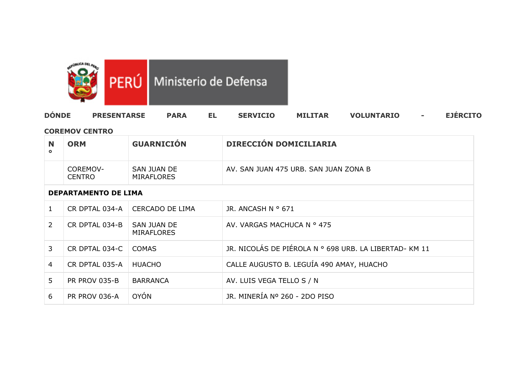

# PERÚ Ministerio de Defensa

| <b>DÔNDE</b><br><b>PRESENTARSE</b><br><b>MILITAR</b><br><b>SERVICIO</b><br><b>PARA</b><br><b>VOLUNTARIO</b> | <b>EJERCITO</b> |
|-------------------------------------------------------------------------------------------------------------|-----------------|
|-------------------------------------------------------------------------------------------------------------|-----------------|

### **COREMOV CENTRO**

| $\circ$ | <b>ORM</b>                | <b>GUARNICIÓN</b>         | <b>DIRECCIÓN DOMICILIARIA</b>         |
|---------|---------------------------|---------------------------|---------------------------------------|
|         | COREMOV-<br><b>CENTRO</b> | SAN JUAN DE<br>MIRAFLORES | AV. SAN JUAN 475 URB. SAN JUAN ZONA B |

### **DEPARTAMENTO DE LIMA**

| $\mathbf{1}$   | CR DPTAL 034-A | CERCADO DE LIMA                  | JR. ANCASH N º 671                                    |
|----------------|----------------|----------------------------------|-------------------------------------------------------|
| $\mathcal{L}$  | CR DPTAL 034-B | SAN JUAN DE<br><b>MIRAFLORES</b> | AV. VARGAS MACHUCA N º 475                            |
| 3              | CR DPTAL 034-C | COMAS                            | JR. NICOLÁS DE PIÉROLA N º 698 URB. LA LIBERTAD-KM 11 |
| $\overline{4}$ | CR DPTAL 035-A | HUACHO                           | CALLE AUGUSTO B. LEGUÍA 490 AMAY, HUACHO              |
| 5.             | PR PROV 035-B  | <b>BARRANCA</b>                  | AV. LUIS VEGA TELLO S / N                             |
| 6              | PR PROV 036-A  | <b>OYÓN</b>                      | JR. MINERÍA Nº 260 - 2DO PISO                         |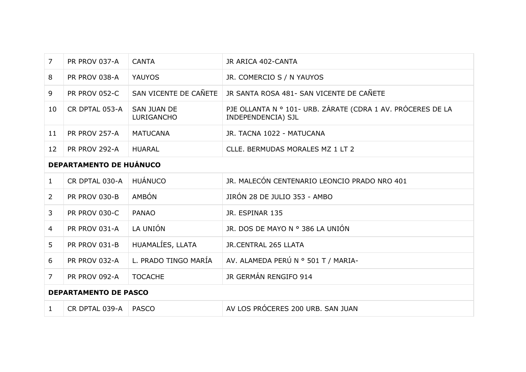| $\overline{7}$ | PR PROV 037-A                  | <b>CANTA</b>                     | JR ARICA 402-CANTA                                                                |  |
|----------------|--------------------------------|----------------------------------|-----------------------------------------------------------------------------------|--|
| 8              | PR PROV 038-A                  | <b>YAUYOS</b>                    | JR. COMERCIO S / N YAUYOS                                                         |  |
| 9              | <b>PR PROV 052-C</b>           | SAN VICENTE DE CAÑETE            | JR SANTA ROSA 481- SAN VICENTE DE CAÑETE                                          |  |
| 10             | CR DPTAL 053-A                 | <b>SAN JUAN DE</b><br>LURIGANCHO | PJE OLLANTA N º 101- URB. ZÁRATE (CDRA 1 AV. PRÓCERES DE LA<br>INDEPENDENCIA) SJL |  |
| 11             | PR PROV 257-A                  | <b>MATUCANA</b>                  | JR. TACNA 1022 - MATUCANA                                                         |  |
| 12             | PR PROV 292-A                  | <b>HUARAL</b>                    | CLLE. BERMUDAS MORALES MZ 1 LT 2                                                  |  |
|                | <b>DEPARTAMENTO DE HUÁNUCO</b> |                                  |                                                                                   |  |
| $\mathbf{1}$   | CR DPTAL 030-A                 | <b>HUÁNUCO</b>                   | JR. MALECÓN CENTENARIO LEONCIO PRADO NRO 401                                      |  |
| $\overline{2}$ | PR PROV 030-B                  | <b>AMBÓN</b>                     | JIRÓN 28 DE JULIO 353 - AMBO                                                      |  |
| 3              | <b>PR PROV 030-C</b>           | <b>PANAO</b>                     | JR. ESPINAR 135                                                                   |  |
| 4              | PR PROV 031-A                  | LA UNIÓN                         | JR. DOS DE MAYO N º 386 LA UNIÓN                                                  |  |
| 5              | PR PROV 031-B                  | HUAMALÍES, LLATA                 | JR.CENTRAL 265 LLATA                                                              |  |
| 6              | PR PROV 032-A                  | L. PRADO TINGO MARÍA             | AV. ALAMEDA PERÚ N º 501 T / MARIA-                                               |  |

# 7 PR PROV 092-A TOCACHE JR GERMÁN RENGIFO 914 **DEPARTAMENTO DE PASCO** 1 CR DPTAL 039-A PASCO AV LOS PRÓCERES 200 URB. SAN JUAN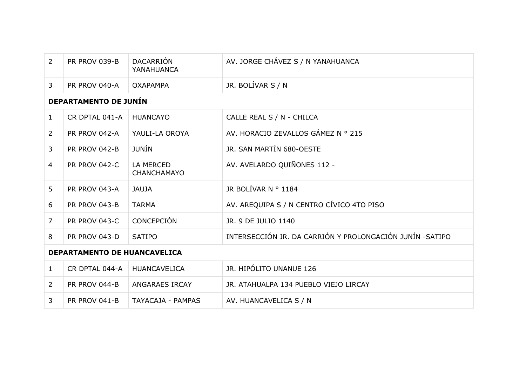| $\overline{2}$ | PR PROV 039-B                       | <b>DACARRIÓN</b><br>YANAHUANCA  | AV. JORGE CHÁVEZ S / N YANAHUANCA                        |
|----------------|-------------------------------------|---------------------------------|----------------------------------------------------------|
| $\mathbf{3}$   | PR PROV 040-A                       | <b>OXAPAMPA</b>                 | JR. BOLÍVAR S / N                                        |
|                | <b>DEPARTAMENTO DE JUNÍN</b>        |                                 |                                                          |
| $\mathbf{1}$   | CR DPTAL 041-A                      | <b>HUANCAYO</b>                 | CALLE REAL S / N - CHILCA                                |
| $\overline{2}$ | PR PROV 042-A                       | YAULI-LA OROYA                  | AV. HORACIO ZEVALLOS GÁMEZ Nº 215                        |
| 3              | PR PROV 042-B                       | <b>JUNÍN</b>                    | JR. SAN MARTÍN 680-OESTE                                 |
| $\overline{4}$ | PR PROV 042-C                       | <b>LA MERCED</b><br>CHANCHAMAYO | AV. AVELARDO QUIÑONES 112 -                              |
| 5              | PR PROV 043-A                       | <b>JAUJA</b>                    | JR BOLÍVAR N º 1184                                      |
| 6              | PR PROV 043-B                       | <b>TARMA</b>                    | AV. AREQUIPA S / N CENTRO CÍVICO 4TO PISO                |
| $\overline{7}$ | <b>PR PROV 043-C</b>                | <b>CONCEPCIÓN</b>               | JR. 9 DE JULIO 1140                                      |
| 8              | PR PROV 043-D                       | <b>SATIPO</b>                   | INTERSECCIÓN JR. DA CARRIÓN Y PROLONGACIÓN JUNÍN -SATIPO |
|                | <b>DEPARTAMENTO DE HUANCAVELICA</b> |                                 |                                                          |
| $\mathbf{1}$   | CR DPTAL 044-A                      | <b>HUANCAVELICA</b>             | JR. HIPÓLITO UNANUE 126                                  |
| $\overline{2}$ | PR PROV 044-B                       | <b>ANGARAES IRCAY</b>           | JR. ATAHUALPA 134 PUEBLO VIEJO LIRCAY                    |
| 3              | PR PROV 041-B                       | <b>TAYACAJA - PAMPAS</b>        | AV. HUANCAVELICA S / N                                   |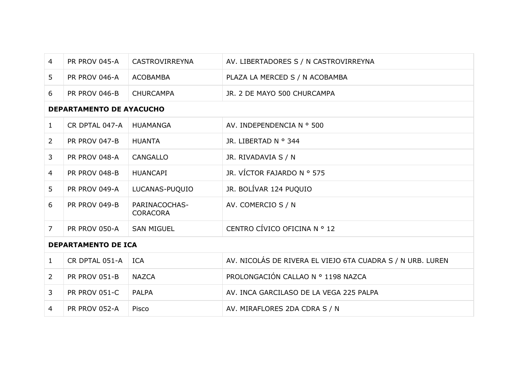| 4              | PR PROV 045-A                   | <b>CASTROVIRREYNA</b>            | AV. LIBERTADORES S / N CASTROVIRREYNA                      |
|----------------|---------------------------------|----------------------------------|------------------------------------------------------------|
| 5 <sup>1</sup> | <b>PR PROV 046-A</b>            | <b>ACOBAMBA</b>                  | PLAZA LA MERCED S / N ACOBAMBA                             |
| 6              | PR PROV 046-B                   | <b>CHURCAMPA</b>                 | JR. 2 DE MAYO 500 CHURCAMPA                                |
|                | <b>DEPARTAMENTO DE AYACUCHO</b> |                                  |                                                            |
| $\mathbf{1}$   | CR DPTAL 047-A                  | <b>HUAMANGA</b>                  | AV. INDEPENDENCIA N º 500                                  |
| $\overline{2}$ | PR PROV 047-B                   | <b>HUANTA</b>                    | JR. LIBERTAD N º 344                                       |
| 3              | PR PROV 048-A                   | <b>CANGALLO</b>                  | JR. RIVADAVIA S / N                                        |
| 4              | PR PROV 048-B                   | <b>HUANCAPI</b>                  | JR. VÍCTOR FAJARDO Nº 575                                  |
| 5 <sup>1</sup> | PR PROV 049-A                   | LUCANAS-PUQUIO                   | JR. BOLÍVAR 124 PUQUIO                                     |
| 6              | PR PROV 049-B                   | PARINACOCHAS-<br><b>CORACORA</b> | AV. COMERCIO S / N                                         |
| $\overline{7}$ | PR PROV 050-A                   | <b>SAN MIGUEL</b>                | CENTRO CÍVICO OFICINA Nº 12                                |
|                | <b>DEPARTAMENTO DE ICA</b>      |                                  |                                                            |
| $\mathbf{1}$   | CR DPTAL 051-A                  | <b>ICA</b>                       | AV. NICOLÁS DE RIVERA EL VIEJO 6TA CUADRA S / N URB. LUREN |
| $2^{\circ}$    | PR PROV 051-B                   | <b>NAZCA</b>                     | PROLONGACIÓN CALLAO Nº 1198 NAZCA                          |
| 3              | PR PROV 051-C                   | <b>PALPA</b>                     | AV. INCA GARCILASO DE LA VEGA 225 PALPA                    |
| 4              | PR PROV 052-A                   | Pisco                            | AV. MIRAFLORES 2DA CDRA S / N                              |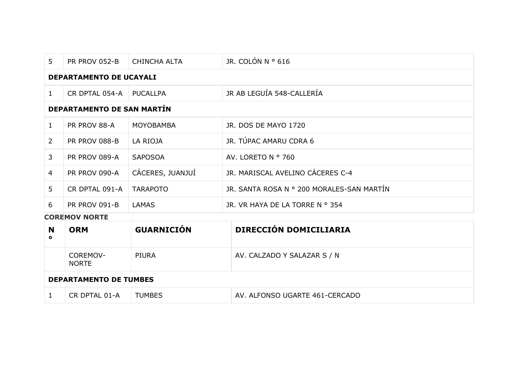| 5              | PR PROV 052-B                     | <b>CHINCHA ALTA</b> | JR. COLÓN N $\degree$ 616                 |  |
|----------------|-----------------------------------|---------------------|-------------------------------------------|--|
|                | <b>DEPARTAMENTO DE UCAYALI</b>    |                     |                                           |  |
| $\mathbf{1}$   | CR DPTAL 054-A                    | PUCALLPA            | JR AB LEGUÍA 548-CALLERÍA                 |  |
|                | <b>DEPARTAMENTO DE SAN MARTÍN</b> |                     |                                           |  |
| 1              | PR PROV 88-A                      | MOYOBAMBA           | JR. DOS DE MAYO 1720                      |  |
| $\overline{2}$ | PR PROV 088-B                     | LA RIOJA            | JR. TÚPAC AMARU CDRA 6                    |  |
| 3              | PR PROV 089-A                     | <b>SAPOSOA</b>      | AV. LORETO N º 760                        |  |
| $\overline{4}$ | PR PROV 090-A                     | CÁCERES, JUANJUÍ    | JR. MARISCAL AVELINO CÁCERES C-4          |  |
| 5              | CR DPTAL 091-A                    | <b>TARAPOTO</b>     | JR. SANTA ROSA N º 200 MORALES-SAN MARTÍN |  |
| 6              | PR PROV 091-B                     | LAMAS               | JR. VR HAYA DE LA TORRE N º 354           |  |
|                | <b>COREMOV NORTE</b>              |                     |                                           |  |

| N<br>$\bullet$ | <b>ORM</b>                    | <b>GUARNICIÓN</b> | <b>DIRECCIÓN DOMICILIARIA</b>  |
|----------------|-------------------------------|-------------------|--------------------------------|
|                | COREMOV-<br><b>NORTE</b>      | PIURA             | AV. CALZADO Y SALAZAR S / N    |
|                | <b>DEPARTAMENTO DE TUMBES</b> |                   |                                |
|                | CR DPTAL 01-A                 | <b>TUMBES</b>     | AV. ALFONSO UGARTE 461-CERCADO |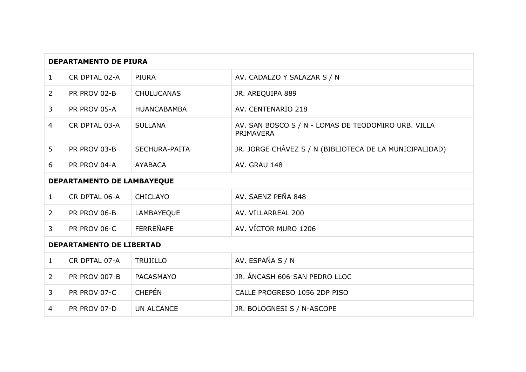| <b>DEPARTAMENTO DE PIURA</b> |                                 |                      |                                                                  |
|------------------------------|---------------------------------|----------------------|------------------------------------------------------------------|
| $\mathbf{1}$                 | CR DPTAL 02-A                   | <b>PIURA</b>         | AV. CADALZO Y SALAZAR S / N                                      |
| $\overline{2}$               | PR PROV 02-B                    | <b>CHULUCANAS</b>    | JR. AREQUIPA 889                                                 |
| 3                            | PR PROV 05-A                    | <b>HUANCABAMBA</b>   | AV. CENTENARIO 218                                               |
| 4                            | CR DPTAL 03-A                   | <b>SULLANA</b>       | AV. SAN BOSCO S / N - LOMAS DE TEODOMIRO URB. VILLA<br>PRIMAVERA |
| 5                            | PR PROV 03-B                    | <b>SECHURA-PAITA</b> | JR. JORGE CHÁVEZ S / N (BIBLIOTECA DE LA MUNICIPALIDAD)          |
| 6                            | PR PROV 04-A                    | <b>AYABACA</b>       | AV. GRAU 148                                                     |
|                              | DEPARTAMENTO DE LAMBAYEQUE      |                      |                                                                  |
| $\mathbf{1}$                 | CR DPTAL 06-A                   | <b>CHICLAYO</b>      | AV. SAENZ PEÑA 848                                               |
| 2                            | PR PROV 06-B                    | LAMBAYEQUE           | AV. VILLARREAL 200                                               |
| 3                            | PR PROV 06-C                    | <b>FERREÑAFE</b>     | AV. VÍCTOR MURO 1206                                             |
|                              | <b>DEPARTAMENTO DE LIBERTAD</b> |                      |                                                                  |
| $\mathbf{1}$                 | CR DPTAL 07-A                   | <b>TRUJILLO</b>      | AV. ESPAÑA S / N                                                 |
| $\overline{2}$               | <b>PR PROV 007-B</b>            | PACASMAYO            | JR. ÁNCASH 606-SAN PEDRO LLOC                                    |
| $\mathbf{3}$                 | PR PROV 07-C                    | <b>CHEPÉN</b>        | CALLE PROGRESO 1056 2DP PISO                                     |
| 4                            | PR PROV 07-D                    | <b>UN ALCANCE</b>    | JR. BOLOGNESI S / N-ASCOPE                                       |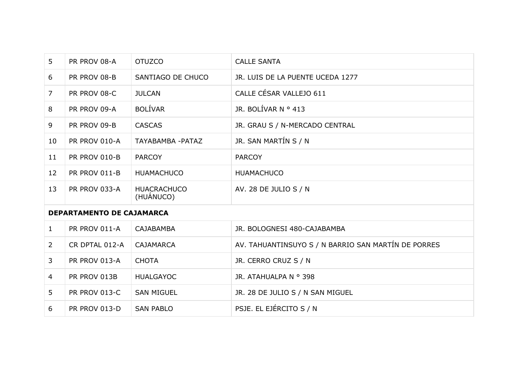| 5              | PR PROV 08-A              | <b>OTUZCO</b>                   | <b>CALLE SANTA</b>                                  |
|----------------|---------------------------|---------------------------------|-----------------------------------------------------|
| 6              | PR PROV 08-B              | SANTIAGO DE CHUCO               | JR. LUIS DE LA PUENTE UCEDA 1277                    |
| $\overline{7}$ | PR PROV 08-C              | <b>JULCAN</b>                   | CALLE CÉSAR VALLEJO 611                             |
| 8              | PR PROV 09-A              | <b>BOLÍVAR</b>                  | JR. BOLÍVAR N $\circ$ 413                           |
| 9              | PR PROV 09-B              | <b>CASCAS</b>                   | JR. GRAU S / N-MERCADO CENTRAL                      |
| 10             | PR PROV 010-A             | TAYABAMBA - PATAZ               | JR. SAN MARTÍN S / N                                |
| 11             | <b>PR PROV 010-B</b>      | <b>PARCOY</b>                   | <b>PARCOY</b>                                       |
| 12             | PR PROV 011-B             | <b>HUAMACHUCO</b>               | <b>HUAMACHUCO</b>                                   |
| 13             | PR PROV 033-A             | <b>HUACRACHUCO</b><br>(HUÁNUCO) | AV. 28 DE JULIO S / N                               |
|                | DEPARTAMENTO DE CAJAMARCA |                                 |                                                     |
| $\mathbf{1}$   | PR PROV 011-A             | CAJABAMBA                       | JR. BOLOGNESI 480-CAJABAMBA                         |
| $\overline{2}$ | CR DPTAL 012-A            | <b>CAJAMARCA</b>                | AV. TAHUANTINSUYO S / N BARRIO SAN MARTÍN DE PORRES |
| 3              | PR PROV 013-A             | <b>CHOTA</b>                    | JR. CERRO CRUZ S / N                                |
| $\overline{4}$ | PR PROV 013B              | <b>HUALGAYOC</b>                | JR. ATAHUALPA N º 398                               |
| 5              | PR PROV 013-C             | <b>SAN MIGUEL</b>               | JR. 28 DE JULIO S / N SAN MIGUEL                    |
| 6              | <b>PR PROV 013-D</b>      | <b>SAN PABLO</b>                | PSJE. EL EJÉRCITO S / N                             |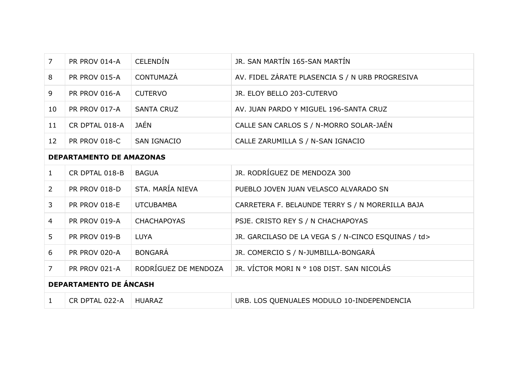| $\overline{7}$                  | PR PROV 014-A        | <b>CELENDÍN</b>      | JR. SAN MARTÍN 165-SAN MARTÍN                       |
|---------------------------------|----------------------|----------------------|-----------------------------------------------------|
| 8                               | PR PROV 015-A        | <b>CONTUMAZÁ</b>     | AV. FIDEL ZÁRATE PLASENCIA S / N URB PROGRESIVA     |
| 9                               | PR PROV 016-A        | <b>CUTERVO</b>       | JR. ELOY BELLO 203-CUTERVO                          |
| 10                              | <b>PR PROV 017-A</b> | <b>SANTA CRUZ</b>    | AV. JUAN PARDO Y MIGUEL 196-SANTA CRUZ              |
| 11                              | CR DPTAL 018-A       | JAÉN                 | CALLE SAN CARLOS S / N-MORRO SOLAR-JAÉN             |
| 12                              | <b>PR PROV 018-C</b> | <b>SAN IGNACIO</b>   | CALLE ZARUMILLA S / N-SAN IGNACIO                   |
| <b>DEPARTAMENTO DE AMAZONAS</b> |                      |                      |                                                     |
| $\mathbf{1}$                    | CR DPTAL 018-B       | <b>BAGUA</b>         | JR. RODRÍGUEZ DE MENDOZA 300                        |
| $\overline{2}$                  | <b>PR PROV 018-D</b> | STA. MARÍA NIEVA     | PUEBLO JOVEN JUAN VELASCO ALVARADO SN               |
| 3                               | <b>PR PROV 018-E</b> | <b>UTCUBAMBA</b>     | CARRETERA F. BELAUNDE TERRY S / N MORERILLA BAJA    |
| $\overline{4}$                  | <b>PR PROV 019-A</b> | <b>CHACHAPOYAS</b>   | PSJE. CRISTO REY S / N CHACHAPOYAS                  |
| 5 <sup>1</sup>                  | <b>PR PROV 019-B</b> | <b>LUYA</b>          | JR. GARCILASO DE LA VEGA S / N-CINCO ESQUINAS / td> |
| 6                               | <b>PR PROV 020-A</b> | <b>BONGARÁ</b>       | JR. COMERCIO S / N-JUMBILLA-BONGARÁ                 |
| $\overline{7}$                  | <b>PR PROV 021-A</b> | RODRÍGUEZ DE MENDOZA | JR. VÍCTOR MORI N º 108 DIST. SAN NICOLÁS           |
| <b>DEPARTAMENTO DE ÁNCASH</b>   |                      |                      |                                                     |
| $\mathbf{1}$                    | CR DPTAL 022-A       | <b>HUARAZ</b>        | URB. LOS QUENUALES MODULO 10-INDEPENDENCIA          |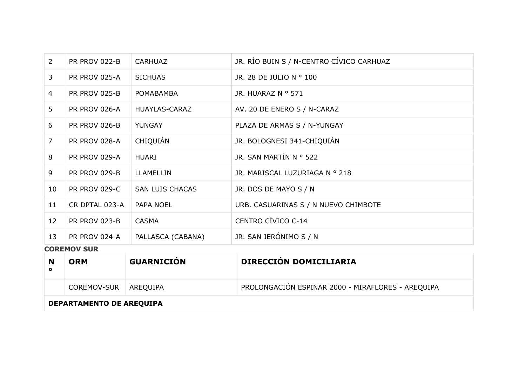| $\overline{2}$ | PR PROV 022-B        | <b>CARHUAZ</b>         | JR. RÍO BUIN S / N-CENTRO CÍVICO CARHUAZ |
|----------------|----------------------|------------------------|------------------------------------------|
| $\mathbf{3}$   | PR PROV 025-A        | <b>SICHUAS</b>         | JR. 28 DE JULIO N º 100                  |
| $\overline{4}$ | <b>PR PROV 025-B</b> | <b>POMABAMBA</b>       | JR. HUARAZ N º 571                       |
| 5              | PR PROV 026-A        | HUAYLAS-CARAZ          | AV. 20 DE ENERO S / N-CARAZ              |
| 6              | <b>PR PROV 026-B</b> | YUNGAY                 | PLAZA DE ARMAS S / N-YUNGAY              |
| $\overline{7}$ | PR PROV 028-A        | CHIQUIÁN               | JR. BOLOGNESI 341-CHIQUIÁN               |
| 8              | <b>PR PROV 029-A</b> | HUARI                  | JR. SAN MARTÍN N º 522                   |
| 9              | PR PROV 029-B        | <b>LLAMELLIN</b>       | JR. MARISCAL LUZURIAGA N º 218           |
| 10             | <b>PR PROV 029-C</b> | <b>SAN LUIS CHACAS</b> | JR. DOS DE MAYO S / N                    |
| 11             | CR DPTAL 023-A       | PAPA NOEL              | URB. CASUARINAS S / N NUEVO CHIMBOTE     |
| 12             | PR PROV 023-B        | <b>CASMA</b>           | CENTRO CÍVICO C-14                       |
| 13             | PR PROV 024-A        | PALLASCA (CABANA)      | JR. SAN JERÓNIMO S / N                   |

**COREMOV SUR**

|                          | <b>ORM</b>             | <b>GUARNICIÓN</b> | <b>DIRECCIÓN DOMICILIARIA</b>                     |
|--------------------------|------------------------|-------------------|---------------------------------------------------|
|                          | COREMOV-SUR   AREQUIPA |                   | PROLONGACIÓN ESPINAR 2000 - MIRAFLORES - AREQUIPA |
| DEPARTAMENTO DE AREQUIPA |                        |                   |                                                   |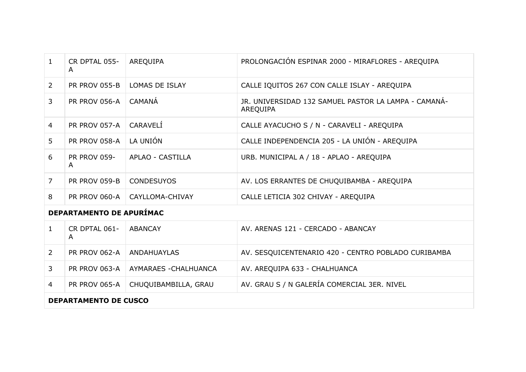| $\mathbf{1}$                    | CR DPTAL 055-<br>$\mathsf{A}$ | AREQUIPA              | PROLONGACIÓN ESPINAR 2000 - MIRAFLORES - AREQUIPA                |
|---------------------------------|-------------------------------|-----------------------|------------------------------------------------------------------|
| $\overline{2}$                  | PR PROV 055-B                 | <b>LOMAS DE ISLAY</b> | CALLE IQUITOS 267 CON CALLE ISLAY - AREQUIPA                     |
| 3                               | PR PROV 056-A                 | CAMANÁ                | JR. UNIVERSIDAD 132 SAMUEL PASTOR LA LAMPA - CAMANÁ-<br>AREQUIPA |
| $\overline{4}$                  | <b>PR PROV 057-A</b>          | CARAVELÍ              | CALLE AYACUCHO S / N - CARAVELI - AREQUIPA                       |
| 5                               | <b>PR PROV 058-A</b>          | LA UNIÓN              | CALLE INDEPENDENCIA 205 - LA UNIÓN - AREQUIPA                    |
| 6                               | <b>PR PROV 059-</b><br>A      | APLAO - CASTILLA      | URB. MUNICIPAL A / 18 - APLAO - AREQUIPA                         |
| $\overline{7}$                  | PR PROV 059-B                 | <b>CONDESUYOS</b>     | AV. LOS ERRANTES DE CHUQUIBAMBA - AREQUIPA                       |
| 8                               | <b>PR PROV 060-A</b>          | CAYLLOMA-CHIVAY       | CALLE LETICIA 302 CHIVAY - AREQUIPA                              |
| <b>DEPARTAMENTO DE APURÍMAC</b> |                               |                       |                                                                  |
| $\mathbf{1}$                    | CR DPTAL 061-<br>A            | <b>ABANCAY</b>        | AV. ARENAS 121 - CERCADO - ABANCAY                               |
| $\overline{2}$                  | PR PROV 062-A                 | <b>ANDAHUAYLAS</b>    | AV. SESQUICENTENARIO 420 - CENTRO POBLADO CURIBAMBA              |
| 3                               | PR PROV 063-A                 | AYMARAES - CHALHUANCA | AV. AREQUIPA 633 - CHALHUANCA                                    |
| 4                               | <b>PR PROV 065-A</b>          | CHUQUIBAMBILLA, GRAU  | AV. GRAU S / N GALERÍA COMERCIAL 3ER. NIVEL                      |

### **DEPARTAMENTO DE CUSCO**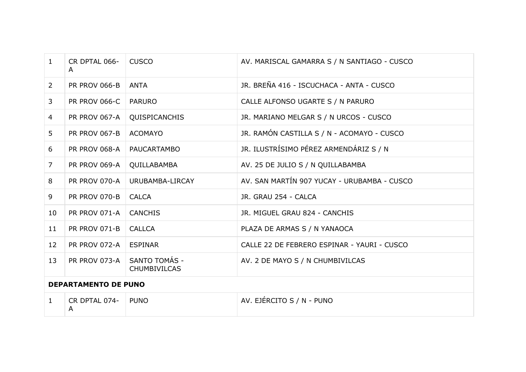| $\mathbf{1}$                | CR DPTAL 066-<br>A   | <b>CUSCO</b>                         | AV. MARISCAL GAMARRA S / N SANTIAGO - CUSCO |
|-----------------------------|----------------------|--------------------------------------|---------------------------------------------|
| $\overline{2}$              | <b>PR PROV 066-B</b> | <b>ANTA</b>                          | JR. BREÑA 416 - ISCUCHACA - ANTA - CUSCO    |
| 3                           | <b>PR PROV 066-C</b> | <b>PARURO</b>                        | CALLE ALFONSO UGARTE S / N PARURO           |
| $\overline{4}$              | <b>PR PROV 067-A</b> | QUISPICANCHIS                        | JR. MARIANO MELGAR S / N URCOS - CUSCO      |
| 5 <sup>1</sup>              | <b>PR PROV 067-B</b> | <b>ACOMAYO</b>                       | JR. RAMÓN CASTILLA S / N - ACOMAYO - CUSCO  |
| 6                           | <b>PR PROV 068-A</b> | PAUCARTAMBO                          | JR. ILUSTRÍSIMO PÉREZ ARMENDÁRIZ S / N      |
| $\overline{7}$              | <b>PR PROV 069-A</b> | QUILLABAMBA                          | AV. 25 DE JULIO S / N QUILLABAMBA           |
| 8                           | PR PROV 070-A        | URUBAMBA-LIRCAY                      | AV. SAN MARTÍN 907 YUCAY - URUBAMBA - CUSCO |
| 9                           | <b>PR PROV 070-B</b> | <b>CALCA</b>                         | JR. GRAU 254 - CALCA                        |
| 10                          | PR PROV 071-A        | <b>CANCHIS</b>                       | JR. MIGUEL GRAU 824 - CANCHIS               |
| 11                          | PR PROV 071-B        | <b>CALLCA</b>                        | PLAZA DE ARMAS S / N YANAOCA                |
| 12                          | PR PROV 072-A        | <b>ESPINAR</b>                       | CALLE 22 DE FEBRERO ESPINAR - YAURI - CUSCO |
| 13                          | <b>PR PROV 073-A</b> | SANTO TOMÁS -<br><b>CHUMBIVILCAS</b> | AV. 2 DE MAYO S / N CHUMBIVILCAS            |
| <b>DEPARTAMENTO DE PUNO</b> |                      |                                      |                                             |
| $\mathbf{1}$                | CR DPTAL 074-<br>A   | <b>PUNO</b>                          | AV. EJÉRCITO S / N - PUNO                   |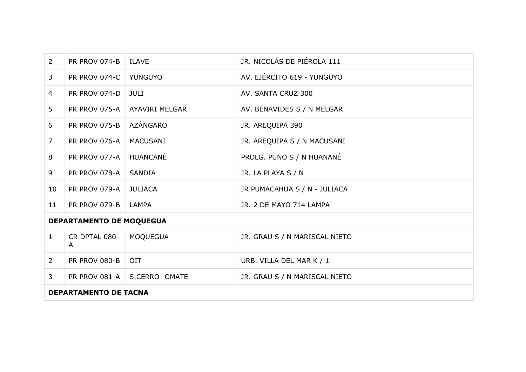| $\overline{2}$                  | PR PROV 074-B   ILAVE |                                | JR. NICOLÁS DE PIÉROLA 111    |
|---------------------------------|-----------------------|--------------------------------|-------------------------------|
| 3                               | PR PROV 074-C         | YUNGUYO                        | AV. EJÉRCITO 619 - YUNGUYO    |
| $\overline{4}$                  | PR PROV 074-D         | JULI                           | AV. SANTA CRUZ 300            |
| 5                               | PR PROV 075-A         | <b>AYAVIRI MELGAR</b>          | AV. BENAVIDES S / N MELGAR    |
| 6                               | <b>PR PROV 075-B</b>  | AZÁNGARO                       | JR. AREQUIPA 390              |
| $\overline{7}$                  | PR PROV 076-A         | <b>MACUSANI</b>                | JR. AREQUIPA S / N MACUSANI   |
| 8                               | PR PROV 077-A         | HUANCANÉ                       | PROLG. PUNO S / N HUANANÉ     |
| 9                               | PR PROV 078-A         | SANDIA                         | JR. LA PLAYA S / N            |
| 10                              | PR PROV 079-A         | <b>JULIACA</b>                 | JR PUMACAHUA S / N - JULIACA  |
| 11                              | PR PROV 079-B   LAMPA |                                | JR. 2 DE MAYO 714 LAMPA       |
| <b>DEPARTAMENTO DE MOQUEGUA</b> |                       |                                |                               |
| $\mathbf{1}$                    | CR DPTAL 080-<br>A    | MOQUEGUA                       | JR. GRAU S / N MARISCAL NIETO |
| $\overline{2}$                  | <b>PR PROV 080-B</b>  | <b>OIT</b>                     | URB. VILLA DEL MAR K / 1      |
| 3                               |                       | PR PROV 081-A   S.CERRO -OMATE | JR. GRAU S / N MARISCAL NIETO |

## **DEPARTAMENTO DE TACNA**